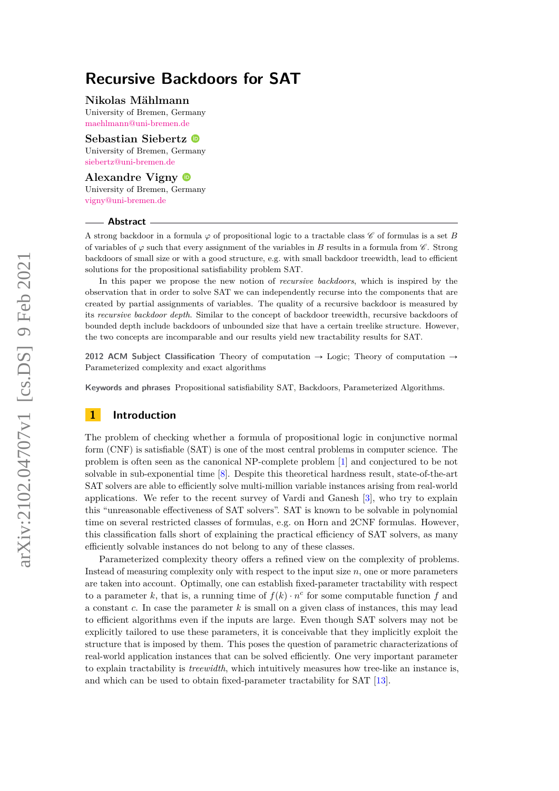#### **Nikolas Mählmann**

University of Bremen, Germany [maehlmann@uni-bremen.de](mailto:maehlmann@uni-bremen.de)

**Sebastian Siebertz** University of Bremen, Germany [siebertz@uni-bremen.de](mailto:siebertz@uni-bremen.de)

## **Alexandre Vigny**

University of Bremen, Germany [vigny@uni-bremen.de](mailto:vigny@uni-bremen.de)

#### **Abstract**

A strong backdoor in a formula  $\varphi$  of propositional logic to a tractable class  $\mathscr C$  of formulas is a set *B* of variables of  $\varphi$  such that every assignment of the variables in *B* results in a formula from  $\mathscr{C}$ . Strong backdoors of small size or with a good structure, e.g. with small backdoor treewidth, lead to efficient solutions for the propositional satisfiability problem SAT.

In this paper we propose the new notion of *recursive backdoors*, which is inspired by the observation that in order to solve SAT we can independently recurse into the components that are created by partial assignments of variables. The quality of a recursive backdoor is measured by its *recursive backdoor depth*. Similar to the concept of backdoor treewidth, recursive backdoors of bounded depth include backdoors of unbounded size that have a certain treelike structure. However, the two concepts are incomparable and our results yield new tractability results for SAT.

**2012 ACM Subject Classification** Theory of computation  $\rightarrow$  Logic; Theory of computation  $\rightarrow$ Parameterized complexity and exact algorithms

**Keywords and phrases** Propositional satisfiability SAT, Backdoors, Parameterized Algorithms.

# **1 Introduction**

The problem of checking whether a formula of propositional logic in conjunctive normal form (CNF) is satisfiable (SAT) is one of the most central problems in computer science. The problem is often seen as the canonical NP-complete problem [\[1\]](#page-12-0) and conjectured to be not solvable in sub-exponential time [\[8\]](#page-12-1). Despite this theoretical hardness result, state-of-the-art SAT solvers are able to efficiently solve multi-million variable instances arising from real-world applications. We refer to the recent survey of Vardi and Ganesh [\[3\]](#page-12-2), who try to explain this "unreasonable effectiveness of SAT solvers". SAT is known to be solvable in polynomial time on several restricted classes of formulas, e.g. on Horn and 2CNF formulas. However, this classification falls short of explaining the practical efficiency of SAT solvers, as many efficiently solvable instances do not belong to any of these classes.

Parameterized complexity theory offers a refined view on the complexity of problems. Instead of measuring complexity only with respect to the input size *n*, one or more parameters are taken into account. Optimally, one can establish fixed-parameter tractability with respect to a parameter *k*, that is, a running time of  $f(k) \cdot n^c$  for some computable function *f* and a constant *c*. In case the parameter *k* is small on a given class of instances, this may lead to efficient algorithms even if the inputs are large. Even though SAT solvers may not be explicitly tailored to use these parameters, it is conceivable that they implicitly exploit the structure that is imposed by them. This poses the question of parametric characterizations of real-world application instances that can be solved efficiently. One very important parameter to explain tractability is *treewidth*, which intuitively measures how tree-like an instance is, and which can be used to obtain fixed-parameter tractability for SAT [\[13\]](#page-12-3).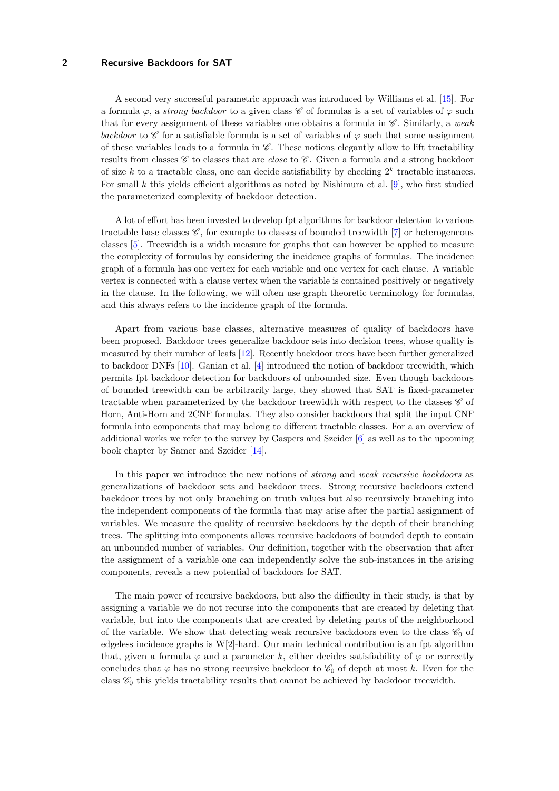A second very successful parametric approach was introduced by Williams et al. [\[15\]](#page-12-4). For a formula  $\varphi$ , a *strong backdoor* to a given class C of formulas is a set of variables of  $\varphi$  such that for every assignment of these variables one obtains a formula in C . Similarly, a *weak backdoor* to  $\mathscr C$  for a satisfiable formula is a set of variables of  $\varphi$  such that some assignment of these variables leads to a formula in  $\mathscr C$ . These notions elegantly allow to lift tractability results from classes  $\mathscr C$  to classes that are *close* to  $\mathscr C$ . Given a formula and a strong backdoor of size  $k$  to a tractable class, one can decide satisfiability by checking  $2^k$  tractable instances. For small *k* this yields efficient algorithms as noted by Nishimura et al. [\[9\]](#page-12-5), who first studied the parameterized complexity of backdoor detection.

A lot of effort has been invested to develop fpt algorithms for backdoor detection to various tractable base classes  $\mathscr{C}$ , for example to classes of bounded treewidth [\[7\]](#page-12-6) or heterogeneous classes [\[5\]](#page-12-7). Treewidth is a width measure for graphs that can however be applied to measure the complexity of formulas by considering the incidence graphs of formulas. The incidence graph of a formula has one vertex for each variable and one vertex for each clause. A variable vertex is connected with a clause vertex when the variable is contained positively or negatively in the clause. In the following, we will often use graph theoretic terminology for formulas, and this always refers to the incidence graph of the formula.

Apart from various base classes, alternative measures of quality of backdoors have been proposed. Backdoor trees generalize backdoor sets into decision trees, whose quality is measured by their number of leafs [\[12\]](#page-12-8). Recently backdoor trees have been further generalized to backdoor DNFs [\[10\]](#page-12-9). Ganian et al. [\[4\]](#page-12-10) introduced the notion of backdoor treewidth, which permits fpt backdoor detection for backdoors of unbounded size. Even though backdoors of bounded treewidth can be arbitrarily large, they showed that SAT is fixed-parameter tractable when parameterized by the backdoor treewidth with respect to the classes  $\mathscr C$  of Horn, Anti-Horn and 2CNF formulas. They also consider backdoors that split the input CNF formula into components that may belong to different tractable classes. For a an overview of additional works we refer to the survey by Gaspers and Szeider [\[6\]](#page-12-11) as well as to the upcoming book chapter by Samer and Szeider [\[14\]](#page-12-12).

In this paper we introduce the new notions of *strong* and *weak recursive backdoors* as generalizations of backdoor sets and backdoor trees. Strong recursive backdoors extend backdoor trees by not only branching on truth values but also recursively branching into the independent components of the formula that may arise after the partial assignment of variables. We measure the quality of recursive backdoors by the depth of their branching trees. The splitting into components allows recursive backdoors of bounded depth to contain an unbounded number of variables. Our definition, together with the observation that after the assignment of a variable one can independently solve the sub-instances in the arising components, reveals a new potential of backdoors for SAT.

The main power of recursive backdoors, but also the difficulty in their study, is that by assigning a variable we do not recurse into the components that are created by deleting that variable, but into the components that are created by deleting parts of the neighborhood of the variable. We show that detecting weak recursive backdoors even to the class  $\mathscr{C}_0$  of edgeless incidence graphs is W[2]-hard. Our main technical contribution is an fpt algorithm that, given a formula  $\varphi$  and a parameter k, either decides satisfiability of  $\varphi$  or correctly concludes that  $\varphi$  has no strong recursive backdoor to  $\mathcal{C}_0$  of depth at most k. Even for the class  $\mathscr{C}_0$  this yields tractability results that cannot be achieved by backdoor treewidth.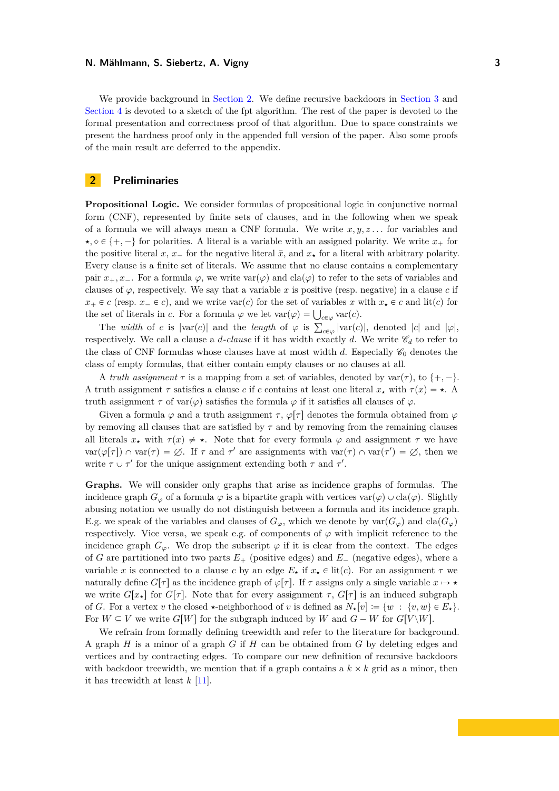We provide background in [Section 2.](#page-2-0) We define recursive backdoors in [Section 3](#page-3-0) and [Section 4](#page-6-0) is devoted to a sketch of the fpt algorithm. The rest of the paper is devoted to the formal presentation and correctness proof of that algorithm. Due to space constraints we present the hardness proof only in the appended full version of the paper. Also some proofs of the main result are deferred to the appendix.

# <span id="page-2-0"></span>**2 Preliminaries**

**Propositional Logic.** We consider formulas of propositional logic in conjunctive normal form (CNF), represented by finite sets of clauses, and in the following when we speak of a formula we will always mean a CNF formula. We write *x, y, z . . .* for variables and  $\star$ ,  $\diamond \in \{+, -\}$  for polarities. A literal is a variable with an assigned polarity. We write  $x_+$  for the positive literal *x*,  $x_{-}$  for the negative literal  $\bar{x}$ , and  $x_{+}$  for a literal with arbitrary polarity. Every clause is a finite set of literals. We assume that no clause contains a complementary pair  $x_+, x_-$ . For a formula  $\varphi$ , we write  $var(\varphi)$  and  $cla(\varphi)$  to refer to the sets of variables and clauses of  $\varphi$ , respectively. We say that a variable *x* is positive (resp. negative) in a clause *c* if  $x_+ \in c$  (resp.  $x_- \in c$ ), and we write var $(c)$  for the set of variables *x* with  $x_* \in c$  and lit $(c)$  for  $x_+ \in c$  (resp.  $x_- \in c$ ), and we write var(*c*) for the set of variables x v<br>the set of literals in *c*. For a formula  $\varphi$  we let  $var(\varphi) = \bigcup_{c \in \varphi} var(c)$ .

The *width* of *c* is  $|\text{var}(c)|$  and the *length* of  $\varphi$  is  $\sum_{c \in \varphi} |\text{var}(c)|$ , denoted  $|c|$  and  $|\varphi|$ , respectively. We call a clause a *d*-clause if it has width exactly *d*. We write  $\mathscr{C}_d$  to refer to the class of CNF formulas whose clauses have at most width d. Especially  $\mathscr{C}_0$  denotes the class of empty formulas, that either contain empty clauses or no clauses at all.

A *truth assignment*  $\tau$  is a mapping from a set of variables, denoted by var $(\tau)$ , to  $\{+,-\}.$ A truth assignment  $\tau$  satisfies a clause *c* if *c* contains at least one literal  $x_*$  with  $\tau(x) = \star$ . A truth assignment *τ* of var $(φ)$  satisfies the formula  $φ$  if it satisfies all clauses of  $φ$ .

Given a formula  $\varphi$  and a truth assignment  $\tau$ ,  $\varphi[\tau]$  denotes the formula obtained from  $\varphi$ by removing all clauses that are satisfied by *τ* and by removing from the remaining clauses all literals  $x_{\star}$  with  $\tau(x) \neq \star$ . Note that for every formula  $\varphi$  and assignment  $\tau$  we have  $var(\varphi[\tau]) \cap var(\tau) = \emptyset$ . If  $\tau$  and  $\tau'$  are assignments with  $var(\tau) \cap var(\tau') = \emptyset$ , then we write  $\tau \cup \tau'$  for the unique assignment extending both  $\tau$  and  $\tau'$ .

**Graphs.** We will consider only graphs that arise as incidence graphs of formulas. The incidence graph  $G_{\varphi}$  of a formula  $\varphi$  is a bipartite graph with vertices var $(\varphi) \cup \text{cla}(\varphi)$ . Slightly abusing notation we usually do not distinguish between a formula and its incidence graph. E.g. we speak of the variables and clauses of  $G_\varphi$ , which we denote by  $var(G_\varphi)$  and  $cla(G_\varphi)$ respectively. Vice versa, we speak e.g. of components of  $\varphi$  with implicit reference to the incidence graph  $G_{\varphi}$ . We drop the subscript  $\varphi$  if it is clear from the context. The edges of *G* are partitioned into two parts  $E_{+}$  (positive edges) and  $E_{-}$  (negative edges), where a variable *x* is connected to a clause *c* by an edge  $E_{\star}$  if  $x_{\star} \in \text{lit}(c)$ . For an assignment  $\tau$  we naturally define  $G[\tau]$  as the incidence graph of  $\varphi[\tau]$ . If  $\tau$  assigns only a single variable  $x \mapsto \star$ we write  $G[x_{\star}]$  for  $G[\tau]$ . Note that for every assignment  $\tau$ ,  $G[\tau]$  is an induced subgraph of *G*. For a vertex *v* the closed  $\star$ -neighborhood of *v* is defined as  $N_{\star}[v] := \{w : \{v, w\} \in E_{\star}\}.$ For  $W \subseteq V$  we write  $G[W]$  for the subgraph induced by W and  $G - W$  for  $G[V\setminus W]$ .

We refrain from formally defining treewidth and refer to the literature for background. A graph *H* is a minor of a graph *G* if *H* can be obtained from *G* by deleting edges and vertices and by contracting edges. To compare our new definition of recursive backdoors with backdoor treewidth, we mention that if a graph contains a  $k \times k$  grid as a minor, then it has treewidth at least *k* [\[11\]](#page-12-13).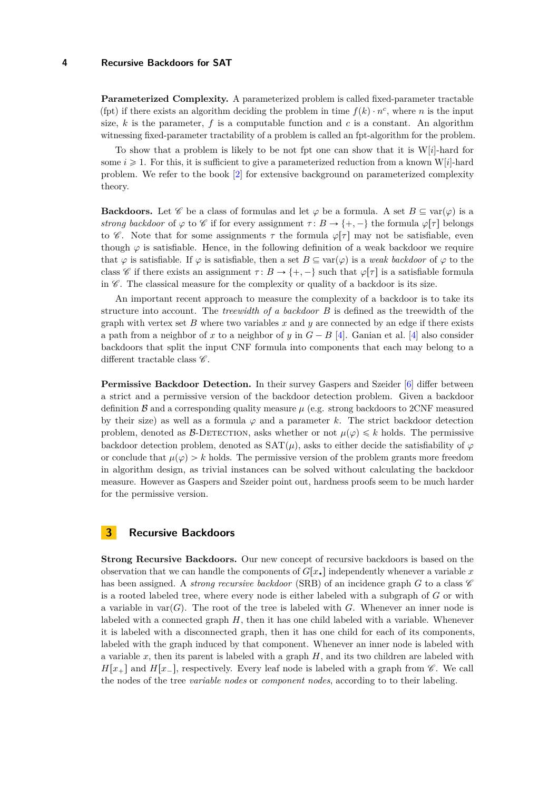**Parameterized Complexity.** A parameterized problem is called fixed-parameter tractable (fpt) if there exists an algorithm deciding the problem in time  $f(k) \cdot n^c$ , where *n* is the input size,  $k$  is the parameter,  $f$  is a computable function and  $c$  is a constant. An algorithm witnessing fixed-parameter tractability of a problem is called an fpt-algorithm for the problem.

To show that a problem is likely to be not fpt one can show that it is W[*i*]-hard for some  $i \geq 1$ . For this, it is sufficient to give a parameterized reduction from a known W[i]-hard problem. We refer to the book [\[2\]](#page-12-14) for extensive background on parameterized complexity theory.

**Backdoors.** Let  $\mathscr C$  be a class of formulas and let  $\varphi$  be a formula. A set  $B \subseteq \text{var}(\varphi)$  is a *strong backdoor* of  $\varphi$  to  $\mathscr C$  if for every assignment  $\tau: B \to \{+, -\}$  the formula  $\varphi[\tau]$  belongs to  $\mathscr{C}$ . Note that for some assignments  $\tau$  the formula  $\varphi[\tau]$  may not be satisfiable, even though  $\varphi$  is satisfiable. Hence, in the following definition of a weak backdoor we require that  $\varphi$  is satisfiable. If  $\varphi$  is satisfiable, then a set  $B \subseteq \text{var}(\varphi)$  is a *weak backdoor* of  $\varphi$  to the class C if there exists an assignment  $\tau: B \to \{+, -\}$  such that  $\varphi[\tau]$  is a satisfiable formula in  $\mathscr{C}$ . The classical measure for the complexity or quality of a backdoor is its size.

An important recent approach to measure the complexity of a backdoor is to take its structure into account. The *treewidth of a backdoor B* is defined as the treewidth of the graph with vertex set *B* where two variables *x* and *y* are connected by an edge if there exists a path from a neighbor of *x* to a neighbor of *y* in  $G - B$  [\[4\]](#page-12-10). Ganian et al. [4] also consider backdoors that split the input CNF formula into components that each may belong to a different tractable class  $\mathscr{C}.$ 

**Permissive Backdoor Detection.** In their survey Gaspers and Szeider [\[6\]](#page-12-11) differ between a strict and a permissive version of the backdoor detection problem. Given a backdoor definition  $\beta$  and a corresponding quality measure  $\mu$  (e.g. strong backdoors to 2CNF measured by their size) as well as a formula  $\varphi$  and a parameter k. The strict backdoor detection problem, denoted as  $\beta$ -DETECTION, asks whether or not  $\mu(\varphi) \leq k$  holds. The permissive backdoor detection problem, denoted as  $SAT(\mu)$ , asks to either decide the satisfiability of  $\varphi$ or conclude that  $\mu(\varphi) > k$  holds. The permissive version of the problem grants more freedom in algorithm design, as trivial instances can be solved without calculating the backdoor measure. However as Gaspers and Szeider point out, hardness proofs seem to be much harder for the permissive version.

# <span id="page-3-0"></span>**3 Recursive Backdoors**

**Strong Recursive Backdoors.** Our new concept of recursive backdoors is based on the observation that we can handle the components of  $G[x_{\star}]$  independently whenever a variable x has been assigned. A *strong recursive backdoor* (SRB) of an incidence graph  $G$  to a class  $\mathscr C$ is a rooted labeled tree, where every node is either labeled with a subgraph of *G* or with a variable in var $(G)$ . The root of the tree is labeled with *G*. Whenever an inner node is labeled with a connected graph *H*, then it has one child labeled with a variable. Whenever it is labeled with a disconnected graph, then it has one child for each of its components, labeled with the graph induced by that component. Whenever an inner node is labeled with a variable  $x$ , then its parent is labeled with a graph  $H$ , and its two children are labeled with  $H[x_{+}]$  and  $H[x_{-}]$ , respectively. Every leaf node is labeled with a graph from  $\mathscr C$ . We call the nodes of the tree *variable nodes* or *component nodes*, according to to their labeling.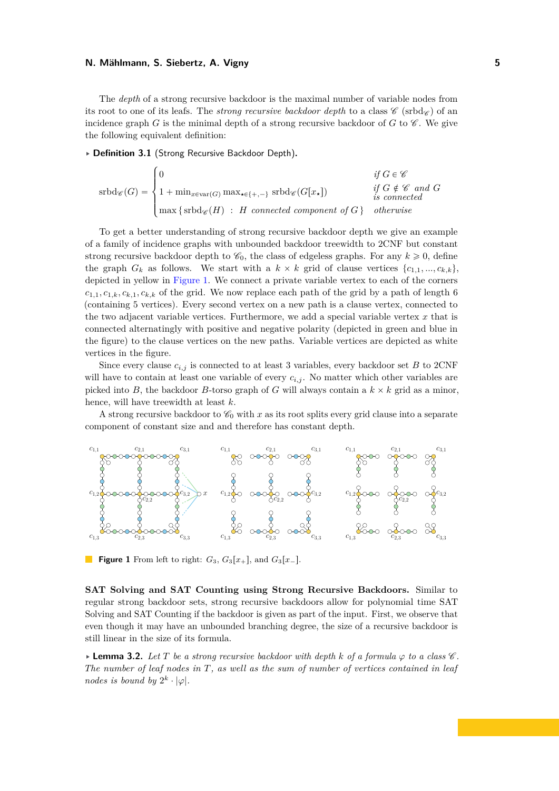The *depth* of a strong recursive backdoor is the maximal number of variable nodes from its root to one of its leafs. The *strong recursive backdoor depth* to a class  $\mathscr{C}$  (srbd $\varphi$ ) of an incidence graph *G* is the minimal depth of a strong recursive backdoor of *G* to  $\mathscr{C}$ . We give the following equivalent definition:

<span id="page-4-2"></span>§ **Definition 3.1** (Strong Recursive Backdoor Depth)**.** \$

$$
\operatorname{srbd}_{\mathscr{C}}(G) = \begin{cases} 0 & \text{if } G \in \mathscr{C} \\ 1 + \min_{x \in \operatorname{var}(G)} \max_{\star \in \{+, -\}} \operatorname{srbd}_{\mathscr{C}}(G[x_{\star}]) & \text{if } G \notin \mathscr{C} \text{ and } G \\ \max \{\operatorname{srbd}_{\mathscr{C}}(H) : H \text{ connected component of } G \} & \text{otherwise} \end{cases}
$$

To get a better understanding of strong recursive backdoor depth we give an example of a family of incidence graphs with unbounded backdoor treewidth to 2CNF but constant strong recursive backdoor depth to  $\mathcal{C}_0$ , the class of edgeless graphs. For any  $k \geq 0$ , define the graph  $G_k$  as follows. We start with a  $k \times k$  grid of clause vertices  $\{c_{1,1},...,c_{k,k}\},\$ depicted in yellow in [Figure 1.](#page-4-0) We connect a private variable vertex to each of the corners  $c_{1,1}, c_{1,k}, c_{k,1}, c_{k,k}$  of the grid. We now replace each path of the grid by a path of length 6 (containing 5 vertices). Every second vertex on a new path is a clause vertex, connected to the two adjacent variable vertices. Furthermore, we add a special variable vertex *x* that is connected alternatingly with positive and negative polarity (depicted in green and blue in the figure) to the clause vertices on the new paths. Variable vertices are depicted as white vertices in the figure.

Since every clause  $c_{i,j}$  is connected to at least 3 variables, every backdoor set *B* to 2CNF will have to contain at least one variable of every  $c_{i,j}$ . No matter which other variables are picked into *B*, the backdoor *B*-torso graph of *G* will always contain a  $k \times k$  grid as a minor, hence, will have treewidth at least *k*.

A strong recursive backdoor to  $\mathcal{C}_0$  with x as its root splits every grid clause into a separate component of constant size and and therefore has constant depth.

<span id="page-4-0"></span>

**Figure 1** From left to right:  $G_3$ ,  $G_3[x_+]$ , and  $G_3[x_-]$ .

**SAT Solving and SAT Counting using Strong Recursive Backdoors.** Similar to regular strong backdoor sets, strong recursive backdoors allow for polynomial time SAT Solving and SAT Counting if the backdoor is given as part of the input. First, we observe that even though it may have an unbounded branching degree, the size of a recursive backdoor is still linear in the size of its formula.

<span id="page-4-1"></span>§ **Lemma 3.2.** *Let T be a strong recursive backdoor with depth k of a formula ϕ to a class* C *. The number of leaf nodes in T, as well as the sum of number of vertices contained in leaf nodes is bound by*  $2^k \cdot |\varphi|$ *.*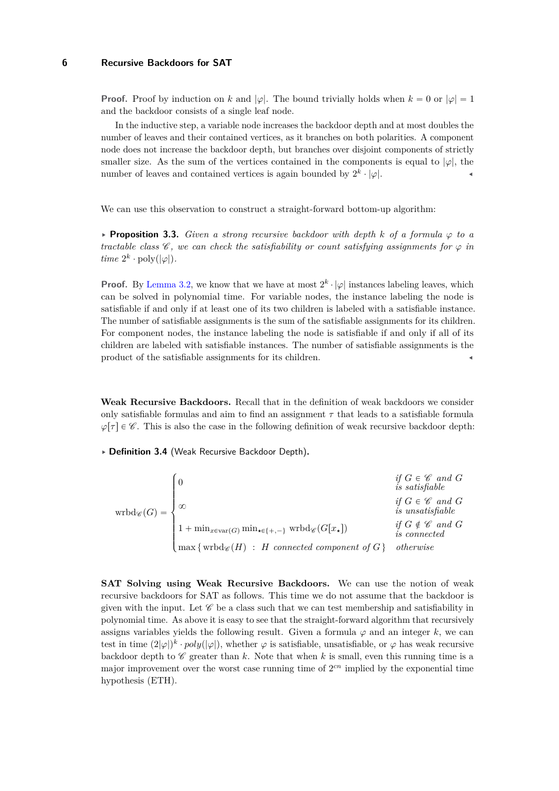**Proof.** Proof by induction on *k* and  $|\varphi|$ . The bound trivially holds when  $k = 0$  or  $|\varphi| = 1$ and the backdoor consists of a single leaf node.

In the inductive step, a variable node increases the backdoor depth and at most doubles the number of leaves and their contained vertices, as it branches on both polarities. A component node does not increase the backdoor depth, but branches over disjoint components of strictly smaller size. As the sum of the vertices contained in the components is equal to  $|\varphi|$ , the number of leaves and contained vertices is again bounded by  $2^k \cdot |\varphi|$ .

<span id="page-5-0"></span>We can use this observation to construct a straight-forward bottom-up algorithm:

 $\triangleright$  **Proposition 3.3.** *Given a strong recursive backdoor with depth k of a formula*  $\varphi$  *to a tractable class*  $\mathscr C$ , we can check the satisfiability or count satisfying assignments for  $\varphi$  in  $time\ 2^k \cdot \text{poly}(|\varphi|).$ 

**Proof.** By [Lemma 3.2,](#page-4-1) we know that we have at most  $2^k \cdot |\varphi|$  instances labeling leaves, which can be solved in polynomial time. For variable nodes, the instance labeling the node is satisfiable if and only if at least one of its two children is labeled with a satisfiable instance. The number of satisfiable assignments is the sum of the satisfiable assignments for its children. For component nodes, the instance labeling the node is satisfiable if and only if all of its children are labeled with satisfiable instances. The number of satisfiable assignments is the product of the satisfiable assignments for its children.

**Weak Recursive Backdoors.** Recall that in the definition of weak backdoors we consider only satisfiable formulas and aim to find an assignment  $\tau$  that leads to a satisfiable formula  $\varphi[\tau] \in \mathscr{C}$ . This is also the case in the following definition of weak recursive backdoor depth:

§ **Definition 3.4** (Weak Recursive Backdoor Depth)**.**

$$
\text{wrbd}_{\mathscr{C}}(G) = \begin{cases} 0 & \text{if } G \in \mathscr{C} \text{ and } G \\ \infty & \text{if } G \in \mathscr{C} \text{ and } G \\ & \text{if } G \in \mathscr{C} \text{ and } G \\ 1 + \min_{x \in \text{var}(G)} \min_{\star \in \{+, -\}} \text{wrbd}_{\mathscr{C}}(G[x_{\star}]) & \text{if } G \notin \mathscr{C} \text{ and } G \\ \max \{ \text{wrbd}_{\mathscr{C}}(H) \ : \ H \text{ connected component of } G \} & \text{otherwise} \end{cases}
$$

**SAT Solving using Weak Recursive Backdoors.** We can use the notion of weak recursive backdoors for SAT as follows. This time we do not assume that the backdoor is given with the input. Let  $\mathscr C$  be a class such that we can test membership and satisfiability in polynomial time. As above it is easy to see that the straight-forward algorithm that recursively assigns variables yields the following result. Given a formula  $\varphi$  and an integer  $k$ , we can test in time  $(2|\varphi|)^k \cdot poly(|\varphi|)$ , whether  $\varphi$  is satisfiable, unsatisfiable, or  $\varphi$  has weak recursive backdoor depth to  $\mathscr C$  greater than  $k$ . Note that when  $k$  is small, even this running time is a major improvement over the worst case running time of  $2<sup>cn</sup>$  implied by the exponential time hypothesis (ETH).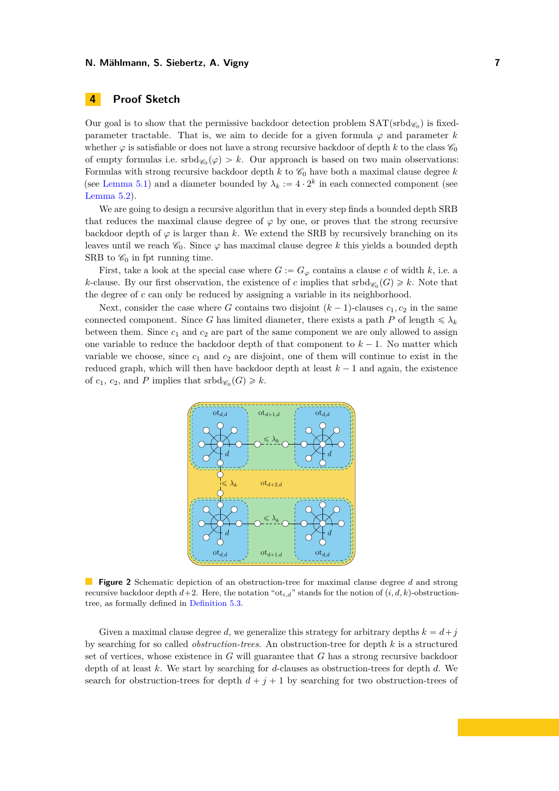# <span id="page-6-0"></span>**4 Proof Sketch**

Our goal is to show that the permissive backdoor detection problem  $\text{SAT}(\text{srbd}_{\mathscr{C}_0})$  is fixedparameter tractable. That is, we aim to decide for a given formula  $\varphi$  and parameter *k* whether  $\varphi$  is satisfiable or does not have a strong recursive backdoor of depth k to the class  $\mathscr{C}_0$ of empty formulas i.e.  $\mathrm{srbd}_{\mathscr{C}_0}(\varphi) > k$ . Our approach is based on two main observations: Formulas with strong recursive backdoor depth  $k$  to  $\mathcal{C}_0$  have both a maximal clause degree  $k$ (see [Lemma 5.1\)](#page-7-0) and a diameter bounded by  $\lambda_k := 4 \cdot 2^k$  in each connected component (see [Lemma 5.2\)](#page-7-1).

We are going to design a recursive algorithm that in every step finds a bounded depth SRB that reduces the maximal clause degree of  $\varphi$  by one, or proves that the strong recursive backdoor depth of  $\varphi$  is larger than *k*. We extend the SRB by recursively branching on its leaves until we reach  $\mathcal{C}_0$ . Since  $\varphi$  has maximal clause degree k this yields a bounded depth SRB to  $\mathscr{C}_0$  in fpt running time.

First, take a look at the special case where  $G := G_\varphi$  contains a clause c of width k, i.e. a *k*-clause. By our first observation, the existence of *c* implies that  $\mathrm{srbd}_{\mathscr{C}_0}(G) \geq k$ . Note that the degree of *c* can only be reduced by assigning a variable in its neighborhood.

<span id="page-6-1"></span>Next, consider the case where *G* contains two disjoint  $(k-1)$ -clauses  $c_1, c_2$  in the same connected component. Since *G* has limited diameter, there exists a path *P* of length  $\leq \lambda_k$ between them. Since  $c_1$  and  $c_2$  are part of the same component we are only allowed to assign one variable to reduce the backdoor depth of that component to  $k - 1$ . No matter which variable we choose, since  $c_1$  and  $c_2$  are disjoint, one of them will continue to exist in the reduced graph, which will then have backdoor depth at least  $k-1$  and again, the existence of  $c_1$ ,  $c_2$ , and P implies that  $\operatorname{srbd}_{\mathscr{C}_0}(G) \geq k$ .



**Figure 2** Schematic depiction of an obstruction-tree for maximal clause degree *d* and strong recursive backdoor depth  $d+2$ . Here, the notation "ot<sub>i,d</sub>" stands for the notion of  $(i, d, k)$ -obstructiontree, as formally defined in [Definition 5.3.](#page-8-0)

Given a maximal clause degree *d*, we generalize this strategy for arbitrary depths  $k = d + j$ by searching for so called *obstruction-trees*. An obstruction-tree for depth *k* is a structured set of vertices, whose existence in *G* will guarantee that *G* has a strong recursive backdoor depth of at least *k*. We start by searching for *d*-clauses as obstruction-trees for depth *d*. We search for obstruction-trees for depth  $d + j + 1$  by searching for two obstruction-trees of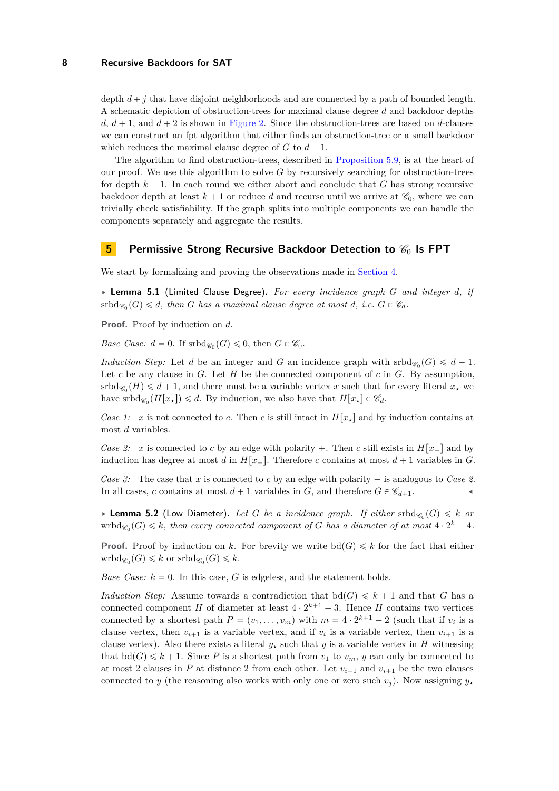depth  $d + j$  that have disjoint neighborhoods and are connected by a path of bounded length. A schematic depiction of obstruction-trees for maximal clause degree *d* and backdoor depths  $d, d + 1$ , and  $d + 2$  is shown in [Figure 2.](#page-6-1) Since the obstruction-trees are based on *d*-clauses we can construct an fpt algorithm that either finds an obstruction-tree or a small backdoor which reduces the maximal clause degree of  $G$  to  $d-1$ .

The algorithm to find obstruction-trees, described in [Proposition 5.9,](#page-9-0) is at the heart of our proof. We use this algorithm to solve *G* by recursively searching for obstruction-trees for depth  $k + 1$ . In each round we either abort and conclude that *G* has strong recursive backdoor depth at least  $k + 1$  or reduce *d* and recurse until we arrive at  $\mathscr{C}_0$ , where we can trivially check satisfiability. If the graph splits into multiple components we can handle the components separately and aggregate the results.

## **5 Permissive Strong Recursive Backdoor Detection to**  $\mathscr{C}_0$  **Is FPT**

<span id="page-7-0"></span>We start by formalizing and proving the observations made in [Section 4.](#page-6-0)

§ **Lemma 5.1** (Limited Clause Degree)**.** *For every incidence graph G and integer d, if*  ${\rm srbd}_{\mathscr{C}_0}(G) \leq d$ , then *G* has a maximal clause degree at most *d*, i.e.  $G \in \mathscr{C}_d$ .

**Proof.** Proof by induction on *d*.

*Base Case:*  $d = 0$ . If  $srbd_{\mathscr{C}_0}(G) \leq 0$ , then  $G \in \mathscr{C}_0$ .

*Induction Step:* Let *d* be an integer and *G* an incidence graph with  $\text{srbd}_{\mathscr{C}_0}(G) \leq d + 1$ . Let  $c$  be any clause in  $G$ . Let  $H$  be the connected component of  $c$  in  $G$ . By assumption,  $\mathrm{srbd}_{\mathscr{C}_0}(H) \leq d+1$ , and there must be a variable vertex *x* such that for every literal  $x_{\star}$  we have srbd<sub> $\mathscr{C}_0(H[x_{\star}]) \leq d$ . By induction, we also have that  $H[x_{\star}] \in \mathscr{C}_d$ .</sub>

*Case 1: x* is not connected to *c*. Then *c* is still intact in  $H[x_{\star}]$  and by induction contains at most *d* variables.

*Case 2: x* is connected to *c* by an edge with polarity +. Then *c* still exists in  $H[x_\_]$  and by induction has degree at most *d* in  $H[x_\_$ . Therefore *c* contains at most  $d+1$  variables in *G*.

*Case 3:* The case that *x* is connected to *c* by an edge with polarity  $-$  is analogous to *Case 2.* In all cases, *c* contains at most  $d+1$  variables in *G*, and therefore  $G \in \mathcal{C}_{d+1}$ .

<span id="page-7-1"></span> $\blacktriangleright$  **Lemma 5.2** (Low Diameter). Let G be a incidence graph. If either  $\mathrm{srbd}_{\mathscr{C}_0}(G) \leq k$  or  $\text{wrbd}_{\mathscr{C}_0}(G) \leq k$ , then every connected component of G has a diameter of at most  $4 \cdot 2^k - 4$ .

**Proof.** Proof by induction on *k*. For brevity we write  $\text{bd}(G) \leq k$  for the fact that either  $\text{wrbd}_{\mathscr{C}_0}(G) \leq k$  or  $\text{srbd}_{\mathscr{C}_0}(G) \leq k$ .

*Base Case:*  $k = 0$ . In this case, *G* is edgeless, and the statement holds.

*Induction Step:* Assume towards a contradiction that  $\text{bd}(G) \leq k+1$  and that *G* has a connected component *H* of diameter at least  $4 \cdot 2^{k+1} - 3$ . Hence *H* contains two vertices connected by a shortest path  $P = (v_1, \ldots, v_m)$  with  $m = 4 \cdot 2^{k+1} - 2$  (such that if  $v_i$  is a clause vertex, then  $v_{i+1}$  is a variable vertex, and if  $v_i$  is a variable vertex, then  $v_{i+1}$  is a clause vertex). Also there exists a literal  $y<sub>*</sub>$  such that *y* is a variable vertex in *H* witnessing that  $\text{bd}(G) \leq k + 1$ . Since *P* is a shortest path from  $v_1$  to  $v_m$ , *y* can only be connected to at most 2 clauses in  $P$  at distance 2 from each other. Let  $v_{i-1}$  and  $v_{i+1}$  be the two clauses connected to *y* (the reasoning also works with only one or zero such  $v_j$ ). Now assigning  $y_*$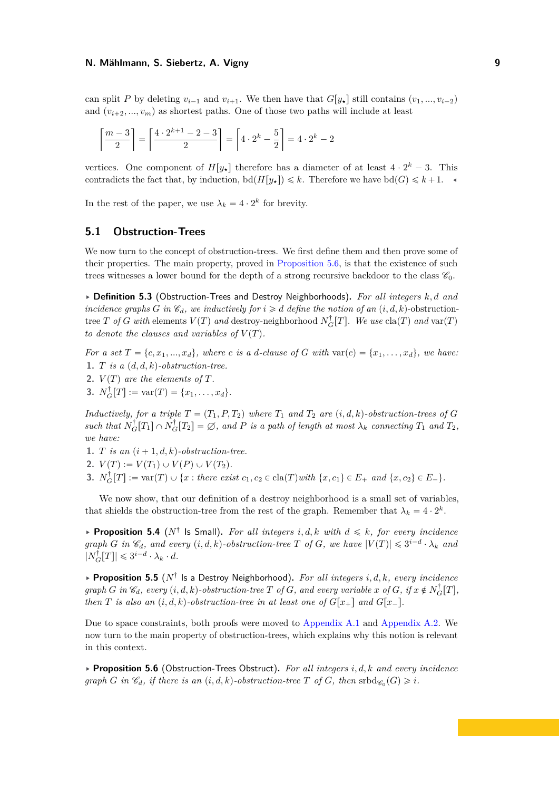can split *P* by deleting  $v_{i-1}$  and  $v_{i+1}$ . We then have that  $G[y_\star]$  still contains  $(v_1, ..., v_{i-2})$ and  $(v_{i+2},..., v_m)$  as shortest paths. One of those two paths will include at least

$$
\left\lceil \frac{m-3}{2} \right\rceil = \left\lceil \frac{4 \cdot 2^{k+1} - 2 - 3}{2} \right\rceil = \left\lceil 4 \cdot 2^k - \frac{5}{2} \right\rceil = 4 \cdot 2^k - 2
$$

vertices. One component of  $H[y_\star]$  therefore has a diameter of at least  $4 \cdot 2^k - 3$ . This contradicts the fact that, by induction,  $\text{bd}(H[y_*]) \leq k$ . Therefore we have  $\text{bd}(G) \leq k+1$ .

In the rest of the paper, we use  $\lambda_k = 4 \cdot 2^k$  for brevity.

## **5.1 Obstruction-Trees**

We now turn to the concept of obstruction-trees. We first define them and then prove some of their properties. The main property, proved in [Proposition 5.6,](#page-8-1) is that the existence of such trees witnesses a lower bound for the depth of a strong recursive backdoor to the class  $\mathscr{C}_0$ .

<span id="page-8-0"></span>§ **Definition 5.3** (Obstruction-Trees and Destroy Neighborhoods)**.** *For all integers k, d and incidence graphs G in*  $\mathscr{C}_d$ *, we inductively for*  $i \geq d$  *define the notion of an*  $(i, d, k)$ -obstructiontree *T of G with* elements  $V(T)$  *and* destroy-neighborhood  $N_G^{\dagger}[T]$ . We use  $\text{cla}(T)$  *and*  $\text{var}(T)$ *to denote the clauses and variables of*  $V(T)$ *.* 

*For a set*  $T = \{c, x_1, \ldots, x_d\}$ , where c is a *d*-clause of G with  $var(c) = \{x_1, \ldots, x_d\}$ , we have: **1.** *T is a*  $(d, d, k)$ *-obstruction-tree.* 

- **2.**  $V(T)$  are the elements of  $T$ *.*
- **3.**  $N_G^{\dagger}[T] := \text{var}(T) = \{x_1, \ldots, x_d\}.$

*Inductively, for a triple*  $T = (T_1, P, T_2)$  *where*  $T_1$  *and*  $T_2$  *are*  $(i, d, k)$ -obstruction-trees of G  $Such$  *that*  $N_G^{\dagger}[T_1] \cap N_G^{\dagger}[T_2] = \emptyset$ , and *P is a path of length at most*  $\lambda_k$  *connecting*  $T_1$  *and*  $T_2$ *, we have:*

- **1.** *T is an*  $(i + 1, d, k)$ -obstruction-tree.
- **2.**  $V(T) := V(T_1) \cup V(P) \cup V(T_2)$ .
- **3.**  $N_G^{\dagger}[T] := \text{var}(T) \cup \{x : \text{there exist } c_1, c_2 \in \text{cla}(T) \text{ with } \{x, c_1\} \in E_+ \text{ and } \{x, c_2\} \in E_-\}.$

We now show, that our definition of a destroy neighborhood is a small set of variables, that shields the obstruction-tree from the rest of the graph. Remember that  $\lambda_k = 4 \cdot 2^k$ .

<span id="page-8-3"></span> $\triangleright$  **Proposition 5.4** ( $N^{\dagger}$  ls Small). For all integers i, d, k with  $d \le k$ , for every incidence *graph G in*  $\mathscr{C}_d$ *, and every*  $(i, d, k)$ -obstruction-tree *T* of *G, we have*  $|V(T)| \leq 3^{i-d} \cdot \lambda_k$  *and*  $|N_G^{\dagger}[T]| \leq 3^{i-d} \cdot \lambda_k \cdot d.$ 

<span id="page-8-2"></span>§ **Proposition 5.5** (*N*: Is a Destroy Neighborhood)**.** *For all integers i, d, k, every incidence* graph G in  $\mathcal{C}_d$ , every  $(i, d, k)$ -obstruction-tree T of G, and every variable x of G, if  $x \notin N_G^{\dagger}[T]$ , *then T is also an*  $(i, d, k)$ -obstruction-tree in at least one of  $G[x_+]$  and  $G[x_-]$ .

Due to space constraints, both proofs were moved to [Appendix A.1](#page-12-15) and [Appendix A.2.](#page-13-0) We now turn to the main property of obstruction-trees, which explains why this notion is relevant in this context.

<span id="page-8-1"></span>§ **Proposition 5.6** (Obstruction-Trees Obstruct)**.** *For all integers i, d, k and every incidence graph G in*  $\mathscr{C}_d$ *, if there is an*  $(i, d, k)$ -obstruction-tree *T* of *G, then* srbd $_{\mathscr{C}_0}(G) \geq i$ *.*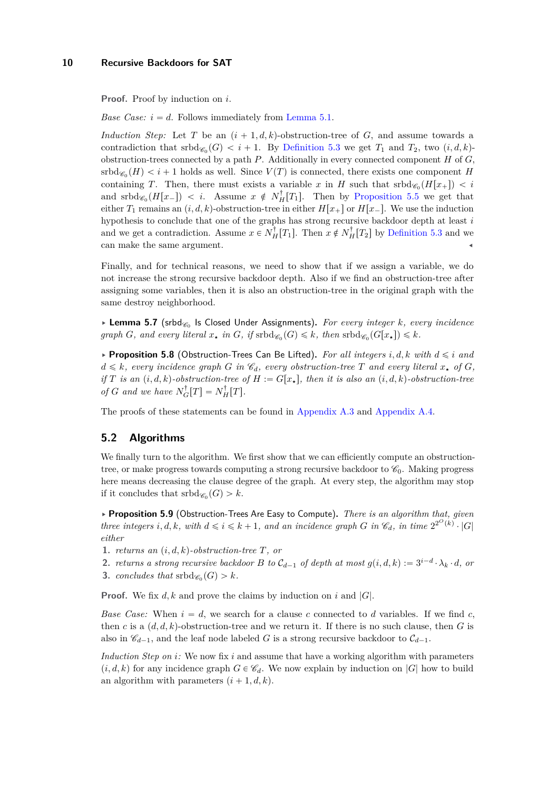**Proof.** Proof by induction on *i*.

*Base Case:*  $i = d$ . Follows immediately from [Lemma 5.1.](#page-7-0)

*Induction Step:* Let *T* be an  $(i + 1, d, k)$ -obstruction-tree of *G*, and assume towards a contradiction that  $\mathrm{srbd}_{\mathscr{C}_0}(G) < i + 1$ . By [Definition 5.3](#page-8-0) we get  $T_1$  and  $T_2$ , two  $(i, d, k)$ obstruction-trees connected by a path *P*. Additionally in every connected component *H* of *G*,  $\operatorname{srbd}_{\mathscr{C}_0}(H) < i + 1$  holds as well. Since  $V(T)$  is connected, there exists one component *H* containing *T*. Then, there must exists a variable *x* in *H* such that  $\text{srbd}_{\mathscr{C}_0}(H[x_+]) < i$ and  $\mathrm{srbd}_{\mathscr{C}_0}(H[x_-]) < i$ . Assume  $x \notin N_H^{\dagger}[T_1]$ . Then by [Proposition 5.5](#page-8-2) we get that either  $T_1$  remains an  $(i, d, k)$ -obstruction-tree in either  $H[x_+]$  or  $H[x_-]$ . We use the induction hypothesis to conclude that one of the graphs has strong recursive backdoor depth at least *i* and we get a contradiction. Assume  $x \in N_H^{\dagger}[T_1]$ . Then  $x \notin N_H^{\dagger}[T_2]$  by [Definition 5.3](#page-8-0) and we can make the same argument.

Finally, and for technical reasons, we need to show that if we assign a variable, we do not increase the strong recursive backdoor depth. Also if we find an obstruction-tree after assigning some variables, then it is also an obstruction-tree in the original graph with the same destroy neighborhood.

<span id="page-9-1"></span>▶ Lemma 5.7 (srbd<sub>%</sub>, Is Closed Under Assignments). For every integer *k*, every incidence  $graph\ G$ *, and every literal*  $x_{\star}$  *in*  $G$ *, if*  $srbd_{\mathscr{C}_0}(G) \leq k$ *, then*  $srbd_{\mathscr{C}_0}(G[x_{\star}]) \leq k$ *.* 

<span id="page-9-2"></span> $\triangleright$  **Proposition 5.8** (Obstruction-Trees Can Be Lifted). For all integers i, d, k with  $d \leq i$  and  $d \leq k$ *, every incidence graph G in*  $\mathcal{C}_d$ *, every obstruction-tree T and every literal*  $x_*$  *of G, if T is an*  $(i, d, k)$ -obstruction-tree of  $H := G[x_{\star}]$ , then *it is also an*  $(i, d, k)$ -obstruction-tree *of G* and we have  $N_G^{\dagger}[T] = N_H^{\dagger}[T]$ .

The proofs of these statements can be found in [Appendix A.3](#page-13-1) and [Appendix A.4.](#page-13-2)

## **5.2 Algorithms**

We finally turn to the algorithm. We first show that we can efficiently compute an obstructiontree, or make progress towards computing a strong recursive backdoor to  $\mathscr{C}_0$ . Making progress here means decreasing the clause degree of the graph. At every step, the algorithm may stop if it concludes that  $\mathrm{srbd}_{\mathscr{C}_0}(G) > k$ .

<span id="page-9-0"></span>§ **Proposition 5.9** (Obstruction-Trees Are Easy to Compute)**.** *There is an algorithm that, given three integers i, d, k, with*  $d \leq i \leq k + 1$ *, and an incidence graph G in*  $\mathcal{C}_d$ *, in time*  $2^{2^O(k)} \cdot |G|$ *either*

- **1.** *returns an*  $(i, d, k)$ -obstruction-tree  $T$ , or
- **2.** *returns a strong recursive backdoor B to*  $C_{d-1}$  *of depth at most*  $g(i, d, k) := 3^{i-d} \cdot \lambda_k \cdot d$ , *or*
- **3.** *concludes that*  $\operatorname{srbd}_{\mathscr{C}_0}(G) > k$ *.*

**Proof.** We fix *d, k* and prove the claims by induction on *i* and |*G*|.

*Base Case:* When  $i = d$ , we search for a clause c connected to d variables. If we find c, then *c* is a  $(d, d, k)$ -obstruction-tree and we return it. If there is no such clause, then *G* is also in  $\mathscr{C}_{d-1}$ , and the leaf node labeled *G* is a strong recursive backdoor to  $\mathcal{C}_{d-1}$ .

*Induction Step on i:* We now fix *i* and assume that have a working algorithm with parameters  $(i, d, k)$  for any incidence graph  $G \in \mathcal{C}_d$ . We now explain by induction on  $|G|$  how to build an algorithm with parameters  $(i + 1, d, k)$ .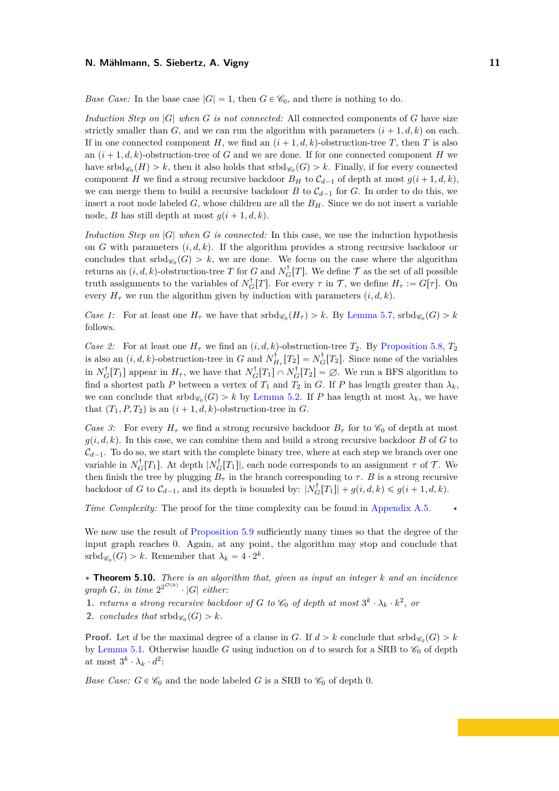*Base Case:* In the base case  $|G| = 1$ , then  $G \in \mathcal{C}_0$ , and there is nothing to do.

*Induction Step on* |*G*| *when G is not connected:* All connected components of *G* have size strictly smaller than *G*, and we can run the algorithm with parameters  $(i + 1, d, k)$  on each. If in one connected component *H*, we find an  $(i + 1, d, k)$ -obstruction-tree *T*, then *T* is also an  $(i + 1, d, k)$ -obstruction-tree of *G* and we are done. If for one connected component *H* we have  $\mathrm{srbd}_{\mathscr{C}_0}(H) > k$ , then it also holds that  $\mathrm{srbd}_{\mathscr{C}_0}(G) > k$ . Finally, if for every connected component *H* we find a strong recursive backdoor  $B_H$  to  $C_{d-1}$  of depth at most  $g(i+1, d, k)$ , we can merge them to build a recursive backdoor *B* to  $C_{d-1}$  for *G*. In order to do this, we insert a root node labeled *G*, whose children are all the *BH*. Since we do not insert a variable node, *B* has still depth at most  $q(i + 1, d, k)$ .

*Induction Step on* |*G*| *when G is connected:* In this case, we use the induction hypothesis on *G* with parameters  $(i, d, k)$ . If the algorithm provides a strong recursive backdoor or concludes that  $\mathrm{srbd}_{\mathscr{C}_0}(G) > k$ , we are done. We focus on the case where the algorithm returns an  $(i, d, k)$ -obstruction-tree *T* for *G* and  $N_G^{\dagger}[T]$ . We define  $\mathcal T$  as the set of all possible truth assignments to the variables of  $N_G^{\dagger}[T]$ . For every  $\tau$  in  $\mathcal{T}$ , we define  $H_{\tau} := G[\tau]$ . On every  $H_{\tau}$  we run the algorithm given by induction with parameters  $(i, d, k)$ .

*Case 1:* For at least one  $H_{\tau}$  we have that  $\text{srbd}_{\mathscr{C}_0}(H_{\tau}) > k$ . By [Lemma 5.7,](#page-9-1)  $\text{srbd}_{\mathscr{C}_0}(G) > k$ follows.

*Case 2:* For at least one  $H<sub>\tau</sub>$  we find an  $(i, d, k)$ -obstruction-tree  $T<sub>2</sub>$ . By [Proposition 5.8,](#page-9-2)  $T<sub>2</sub>$ is also an  $(i, d, k)$ -obstruction-tree in *G* and  $N_{H_{\tau}}^{\dagger}[T_2] = N_G^{\dagger}[T_2]$ . Since none of the variables in  $N_G^{\dagger}[T_1]$  appear in  $H_{\tau}$ , we have that  $N_G^{\dagger}[T_1] \cap N_G^{\dagger}[T_2] = \emptyset$ . We run a BFS algorithm to find a shortest path *P* between a vertex of  $T_1$  and  $T_2$  in *G*. If *P* has length greater than  $\lambda_k$ . we can conclude that  $\text{srbd}_{\mathscr{C}_0}(G) > k$  by [Lemma 5.2.](#page-7-1) If *P* has length at most  $\lambda_k$ , we have that  $(T_1, P, T_2)$  is an  $(i + 1, d, k)$ -obstruction-tree in *G*.

*Case 3:* For every  $H<sub>\tau</sub>$  we find a strong recursive backdoor  $B<sub>\tau</sub>$  for to  $\mathscr{C}_0$  of depth at most  $g(i, d, k)$ . In this case, we can combine them and build a strong recursive backdoor *B* of *G* to  $\mathcal{C}_{d-1}$ . To do so, we start with the complete binary tree, where at each step we branch over one variable in  $N_G^{\dagger}[T_1]$ . At depth  $|N_G^{\dagger}[T_1]|$ , each node corresponds to an assignment  $\tau$  of  $\mathcal T$ . We then finish the tree by plugging  $B_{\tau}$  in the branch corresponding to  $\tau$ . *B* is a strong recursive backdoor of *G* to  $\mathcal{C}_{d-1}$ , and its depth is bounded by:  $|N_G^{\dagger}[T_1]| + g(i, d, k) \leq g(i + 1, d, k)$ .

*Time Complexity:* The proof for the time complexity can be found in [Appendix A.5.](#page-14-0)

We now use the result of [Proposition 5.9](#page-9-0) sufficiently many times so that the degree of the input graph reaches 0. Again, at any point, the algorithm may stop and conclude that  $srbd_{\mathscr{C}_0}(G) > k$ . Remember that  $\lambda_k = 4 \cdot 2^k$ .

<span id="page-10-0"></span>§ **Theorem 5.10.** *There is an algorithm that, given as input an integer k and an incidence*  $graph G, in time 2^{2^{\mathcal{O}(k)}} \cdot |G|$  *either:* 

**1.** *returns a strong recursive backdoor of G to*  $\mathscr{C}_0$  *of depth at most*  $3^k \cdot \lambda_k \cdot k^2$ , *or* 

**2.** *concludes that*  $\mathrm{srbd}_{\mathscr{C}_0}(G) > k$ *.* 

**Proof.** Let *d* be the maximal degree of a clause in *G*. If  $d > k$  conclude that  $\text{srbd}_{\mathscr{C}_0}(G) > k$ by [Lemma 5.1.](#page-7-0) Otherwise handle *G* using induction on *d* to search for a SRB to  $\mathcal{C}_0$  of depth at most  $3^k \cdot \lambda_k \cdot d^2$ :

*Base Case:*  $G \in \mathcal{C}_0$  and the node labeled *G* is a SRB to  $\mathcal{C}_0$  of depth 0.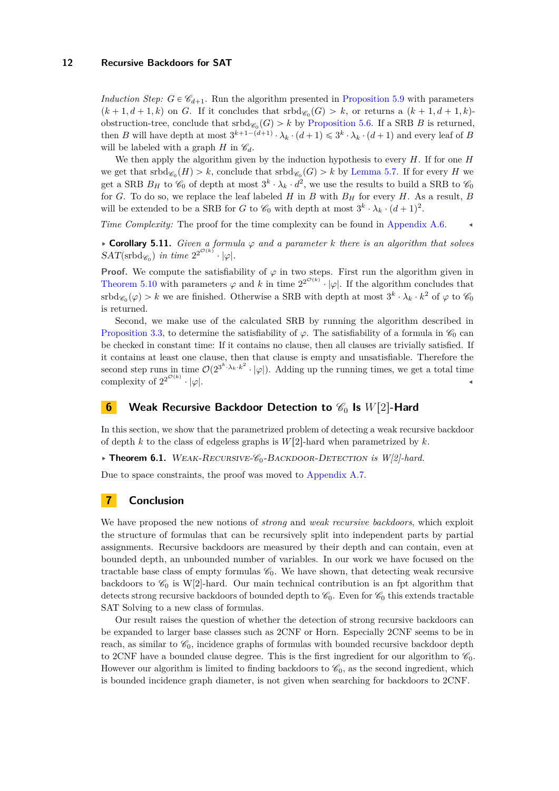*Induction Step:*  $G \in \mathcal{C}_{d+1}$ . Run the algorithm presented in [Proposition 5.9](#page-9-0) with parameters  $(k+1, d+1, k)$  on *G*. If it concludes that  $\text{srbd}_{\mathscr{C}_0}(G) > k$ , or returns a  $(k+1, d+1, k)$ obstruction-tree, conclude that  $\operatorname{srbd}_{\mathscr{C}_0}(G) > k$  by [Proposition 5.6.](#page-8-1) If a SRB *B* is returned, then *B* will have depth at most  $3^{k+1-(d+1)} \cdot \lambda_k \cdot (d+1) \leq 3^k \cdot \lambda_k \cdot (d+1)$  and every leaf of *B* will be labeled with a graph  $H$  in  $\mathcal{C}_d$ .

We then apply the algorithm given by the induction hypothesis to every *H*. If for one *H* we get that  $\mathrm{srbd}_{\mathscr{C}_0}(H) > k$ , conclude that  $\mathrm{srbd}_{\mathscr{C}_0}(G) > k$  by [Lemma 5.7.](#page-9-1) If for every *H* we get a SRB  $B_H$  to  $\mathscr{C}_0$  of depth at most  $3^k \cdot \lambda_k \cdot d^2$ , we use the results to build a SRB to  $\mathscr{C}_0$ for *G*. To do so, we replace the leaf labeled *H* in *B* with  $B_H$  for every *H*. As a result, *B* will be extended to be a SRB for *G* to  $\mathcal{C}_0$  with depth at most  $3^k \cdot \lambda_k \cdot (d+1)^2$ .

*Time Complexity:* The proof for the time complexity can be found in [Appendix A.6.](#page-14-1)

 $\triangleright$  **Corollary 5.11.** *Given a formula*  $\varphi$  *and a parameter k there is an algorithm that solves*  $SAT(\text{srbd}_{\mathscr{C}_0})$  in time  $2^{2^{\mathcal{O}(k)}} \cdot |\varphi|$ *.* 

**Proof.** We compute the satisfiability of  $\varphi$  in two steps. First run the algorithm given in [Theorem 5.10](#page-10-0) with parameters  $\varphi$  and *k* in time  $2^{2^{\mathcal{O}(k)}} \cdot |\varphi|$ . If the algorithm concludes that  $\text{srbd}_{\mathscr{C}_0}(\varphi) > k$  we are finished. Otherwise a SRB with depth at most  $3^k \cdot \lambda_k \cdot k^2$  of  $\varphi$  to  $\mathscr{C}_0$ is returned.

Second, we make use of the calculated SRB by running the algorithm described in [Proposition 3.3,](#page-5-0) to determine the satisfiability of  $\varphi$ . The satisfiability of a formula in  $\mathscr{C}_0$  can be checked in constant time: If it contains no clause, then all clauses are trivially satisfied. If it contains at least one clause, then that clause is empty and unsatisfiable. Therefore the second step runs in time  $\mathcal{O}(2^{3^k \cdot \lambda_k \cdot k^2} \cdot |\varphi|)$ . Adding up the running times, we get a total time complexity of  $2^{2^{\mathcal{O}(k)}} \cdot |\varphi|$ .

# **6 Weak Recursive Backdoor Detection to**  $\mathscr{C}_0$  **Is**  $W[2]$ -Hard

In this section, we show that the parametrized problem of detecting a weak recursive backdoor of depth  $k$  to the class of edgeless graphs is  $W[2]$ -hard when parametrized by  $k$ .

<span id="page-11-0"></span>§ **Theorem 6.1.** Weak-Recursive-C0-Backdoor-Detection *is W[2]-hard.*

Due to space constraints, the proof was moved to [Appendix A.7.](#page-15-0)

# **7 Conclusion**

We have proposed the new notions of *strong* and *weak recursive backdoors*, which exploit the structure of formulas that can be recursively split into independent parts by partial assignments. Recursive backdoors are measured by their depth and can contain, even at bounded depth, an unbounded number of variables. In our work we have focused on the tractable base class of empty formulas  $\mathcal{C}_0$ . We have shown, that detecting weak recursive backdoors to  $\mathcal{C}_0$  is W[2]-hard. Our main technical contribution is an fpt algorithm that detects strong recursive backdoors of bounded depth to  $\mathcal{C}_0$ . Even for  $\mathcal{C}_0$  this extends tractable SAT Solving to a new class of formulas.

Our result raises the question of whether the detection of strong recursive backdoors can be expanded to larger base classes such as 2CNF or Horn. Especially 2CNF seems to be in reach, as similar to  $\mathcal{C}_0$ , incidence graphs of formulas with bounded recursive backdoor depth to 2CNF have a bounded clause degree. This is the first ingredient for our algorithm to  $\mathscr{C}_0$ . However our algorithm is limited to finding backdoors to  $\mathcal{C}_0$ , as the second ingredient, which is bounded incidence graph diameter, is not given when searching for backdoors to 2CNF.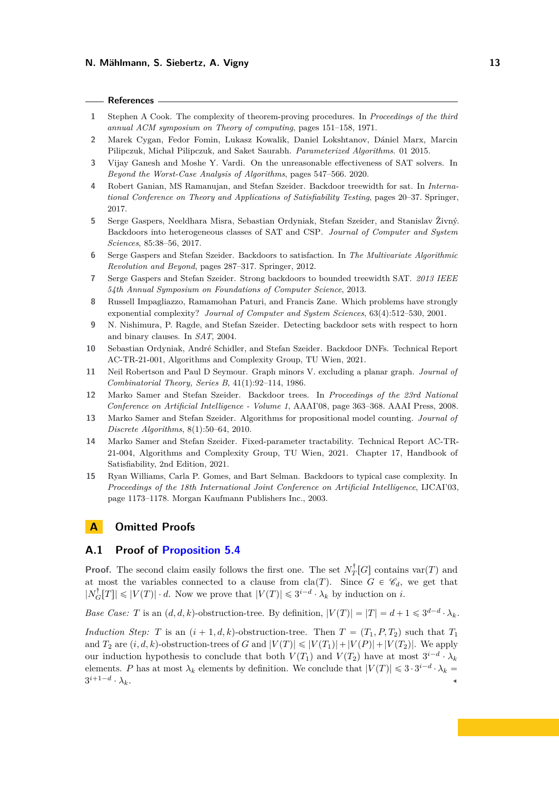#### **References**

- <span id="page-12-0"></span>**1** Stephen A Cook. The complexity of theorem-proving procedures. In *Proceedings of the third annual ACM symposium on Theory of computing*, pages 151–158, 1971.
- <span id="page-12-14"></span>**2** Marek Cygan, Fedor Fomin, Lukasz Kowalik, Daniel Lokshtanov, Dániel Marx, Marcin Pilipczuk, Michał Pilipczuk, and Saket Saurabh. *Parameterized Algorithms*. 01 2015.
- <span id="page-12-2"></span>**3** Vijay Ganesh and Moshe Y. Vardi. On the unreasonable effectiveness of SAT solvers. In *Beyond the Worst-Case Analysis of Algorithms*, pages 547–566. 2020.
- <span id="page-12-10"></span>**4** Robert Ganian, MS Ramanujan, and Stefan Szeider. Backdoor treewidth for sat. In *International Conference on Theory and Applications of Satisfiability Testing*, pages 20–37. Springer, 2017.
- <span id="page-12-7"></span>**5** Serge Gaspers, Neeldhara Misra, Sebastian Ordyniak, Stefan Szeider, and Stanislav Živný. Backdoors into heterogeneous classes of SAT and CSP. *Journal of Computer and System Sciences*, 85:38–56, 2017.
- <span id="page-12-11"></span>**6** Serge Gaspers and Stefan Szeider. Backdoors to satisfaction. In *The Multivariate Algorithmic Revolution and Beyond*, pages 287–317. Springer, 2012.
- <span id="page-12-6"></span>**7** Serge Gaspers and Stefan Szeider. Strong backdoors to bounded treewidth SAT. *2013 IEEE 54th Annual Symposium on Foundations of Computer Science*, 2013.
- <span id="page-12-1"></span>**8** Russell Impagliazzo, Ramamohan Paturi, and Francis Zane. Which problems have strongly exponential complexity? *Journal of Computer and System Sciences*, 63(4):512–530, 2001.
- <span id="page-12-5"></span>**9** N. Nishimura, P. Ragde, and Stefan Szeider. Detecting backdoor sets with respect to horn and binary clauses. In *SAT*, 2004.
- <span id="page-12-9"></span>**10** Sebastian Ordyniak, André Schidler, and Stefan Szeider. Backdoor DNFs. Technical Report AC-TR-21-001, Algorithms and Complexity Group, TU Wien, 2021.
- <span id="page-12-13"></span>**11** Neil Robertson and Paul D Seymour. Graph minors V. excluding a planar graph. *Journal of Combinatorial Theory, Series B*, 41(1):92–114, 1986.
- <span id="page-12-8"></span>**12** Marko Samer and Stefan Szeider. Backdoor trees. In *Proceedings of the 23rd National Conference on Artificial Intelligence - Volume 1*, AAAI'08, page 363–368. AAAI Press, 2008.
- <span id="page-12-3"></span>**13** Marko Samer and Stefan Szeider. Algorithms for propositional model counting. *Journal of Discrete Algorithms*, 8(1):50–64, 2010.
- <span id="page-12-12"></span>**14** Marko Samer and Stefan Szeider. Fixed-parameter tractability. Technical Report AC-TR-21-004, Algorithms and Complexity Group, TU Wien, 2021. Chapter 17, Handbook of Satisfiability, 2nd Edition, 2021.
- <span id="page-12-4"></span>**15** Ryan Williams, Carla P. Gomes, and Bart Selman. Backdoors to typical case complexity. In *Proceedings of the 18th International Joint Conference on Artificial Intelligence*, IJCAI'03, page 1173–1178. Morgan Kaufmann Publishers Inc., 2003.

# **A Omitted Proofs**

### <span id="page-12-15"></span>**A.1 Proof of [Proposition 5.4](#page-8-3)**

**Proof.** The second claim easily follows the first one. The set  $N_T^{\dagger}[G]$  contains var $(T)$  and at most the variables connected to a clause from  $\text{cla}(T)$ . Since  $G \in \mathscr{C}_d$ , we get that  $|N_G^{\dagger}[T]| \leq |V(T)| \cdot d$ . Now we prove that  $|V(T)| \leq 3^{i-d} \cdot \lambda_k$  by induction on *i*.

*Base Case: T* is an  $(d, d, k)$ -obstruction-tree. By definition,  $|V(T)| = |T| = d + 1 \leq 3^{d-d} \cdot \lambda_k$ .

*Induction Step: T* is an  $(i + 1, d, k)$ -obstruction-tree. Then  $T = (T_1, P, T_2)$  such that  $T_1$ and  $T_2$  are  $(i, d, k)$ -obstruction-trees of *G* and  $|V(T)| \leq |V(T_1)| + |V(P)| + |V(T_2)|$ . We apply our induction hypothesis to conclude that both  $V(T_1)$  and  $V(T_2)$  have at most  $3^{i-d} \cdot \lambda_k$ elements. *P* has at most  $\lambda_k$  elements by definition. We conclude that  $|V(T)| \leq 3 \cdot 3^{i-d} \cdot \lambda_k =$  $3^{i+1-d}$  $\cdot \lambda_k$ .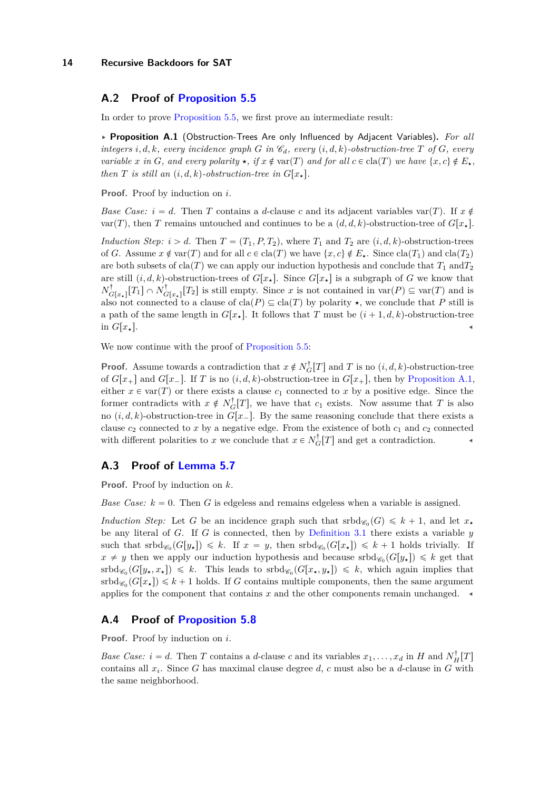## <span id="page-13-0"></span>**A.2 Proof of [Proposition 5.5](#page-8-2)**

<span id="page-13-3"></span>In order to prove [Proposition 5.5,](#page-8-2) we first prove an intermediate result:

§ **Proposition A.1** (Obstruction-Trees Are only Influenced by Adjacent Variables)**.** *For all integers i, d, k, every incidence graph G in*  $\mathscr{C}_d$ *, every*  $(i, d, k)$ -obstruction-tree *T* of *G, every variable x* in *G*, and every polarity  $\star$ , if  $x \notin \text{var}(T)$  and for all  $c \in \text{cla}(T)$  we have  $\{x, c\} \notin E_{\star}$ , *then T is still an*  $(i, d, k)$ -obstruction-tree in  $G[x, .]$ .

**Proof.** Proof by induction on *i*.

*Base Case:*  $i = d$ . Then *T* contains a *d*-clause *c* and its adjacent variables var $(T)$ . If  $x \notin$  $var(T)$ , then *T* remains untouched and continues to be a  $(d, d, k)$ -obstruction-tree of  $G[x, k]$ .

*Induction Step:*  $i > d$ . Then  $T = (T_1, P, T_2)$ , where  $T_1$  and  $T_2$  are  $(i, d, k)$ -obstruction-trees of *G*. Assume  $x \notin \text{var}(T)$  and for all  $c \in \text{cla}(T)$  we have  $\{x, c\} \notin E_\star$ . Since  $\text{cla}(T_1)$  and  $\text{cla}(T_2)$ are both subsets of cla $(T)$  we can apply our induction hypothesis and conclude that  $T_1$  and  $T_2$ are still  $(i, d, k)$ -obstruction-trees of  $G[x_{\star}]$ . Since  $G[x_{\star}]$  is a subgraph of *G* we know that  $N_{G[x_*]}^{\dagger}[T_1] \cap N_{G[x_*]}^{\dagger}[T_2]$  is still empty. Since *x* is not contained in var $(P) \subseteq \text{var}(T)$  and is also not connected to a clause of  $\text{cla}(P) \subseteq \text{cla}(T)$  by polarity  $\star$ , we conclude that *P* still is a path of the same length in  $G[x_{\star}]$ . It follows that *T* must be  $(i + 1, d, k)$ -obstruction-tree in  $G[x_{\star}]$ .

We now continue with the proof of [Proposition 5.5:](#page-8-2)

**Proof.** Assume towards a contradiction that  $x \notin N_G^{\dagger}[T]$  and *T* is no  $(i, d, k)$ -obstruction-tree of  $G[x_+]$  and  $G[x_-]$ . If *T* is no  $(i, d, k)$ -obstruction-tree in  $G[x_+]$ , then by [Proposition A.1,](#page-13-3) either  $x \in \text{var}(T)$  or there exists a clause  $c_1$  connected to x by a positive edge. Since the former contradicts with  $x \notin N_G^{\dagger}[T]$ , we have that  $c_1$  exists. Now assume that  $T$  is also no  $(i, d, k)$ -obstruction-tree in  $G[x_$ . By the same reasoning conclude that there exists a clause  $c_2$  connected to x by a negative edge. From the existence of both  $c_1$  and  $c_2$  connected with different polarities to *x* we conclude that  $x \in N_G^{\dagger}[T]$  and get a contradiction.

#### <span id="page-13-1"></span>**A.3 Proof of [Lemma 5.7](#page-9-1)**

**Proof.** Proof by induction on *k*.

*Base Case:*  $k = 0$ . Then *G* is edgeless and remains edgeless when a variable is assigned.

*Induction Step:* Let G be an incidence graph such that  $srbd_{\mathscr{C}_0}(G) \leq k+1$ , and let  $x_{\star}$ be any literal of *G*. If *G* is connected, then by [Definition 3.1](#page-4-2) there exists a variable *y* such that  $\mathrm{srbd}_{\mathscr{C}_0}(G[y_\star]) \leq k$ . If  $x = y$ , then  $\mathrm{srbd}_{\mathscr{C}_0}(G[x_\star]) \leq k+1$  holds trivially. If  $x \neq y$  then we apply our induction hypothesis and because  $srbd_{\mathscr{C}_0}(G[y_\star]) \leq k$  get that  $\mathrm{srbd}_{\mathscr{C}_0}(G[y_\star, x_\star]) \leq k$ . This leads to  $\mathrm{srbd}_{\mathscr{C}_0}(G[x_\star, y_\star]) \leq k$ , which again implies that  $smbd_{\mathscr{C}_0}(G[x_{\star}]) \leq k+1$  holds. If *G* contains multiple components, then the same argument applies for the component that contains  $x$  and the other components remain unchanged.  $\triangleleft$ 

## <span id="page-13-2"></span>**A.4 Proof of [Proposition 5.8](#page-9-2)**

**Proof.** Proof by induction on *i*.

*Base Case:*  $i = d$ . Then *T* contains a *d*-clause *c* and its variables  $x_1, \ldots, x_d$  in *H* and  $N_H^{\dagger}[T]$ contains all *x<sup>i</sup>* . Since *G* has maximal clause degree *d*, *c* must also be a *d*-clause in *G* with the same neighborhood.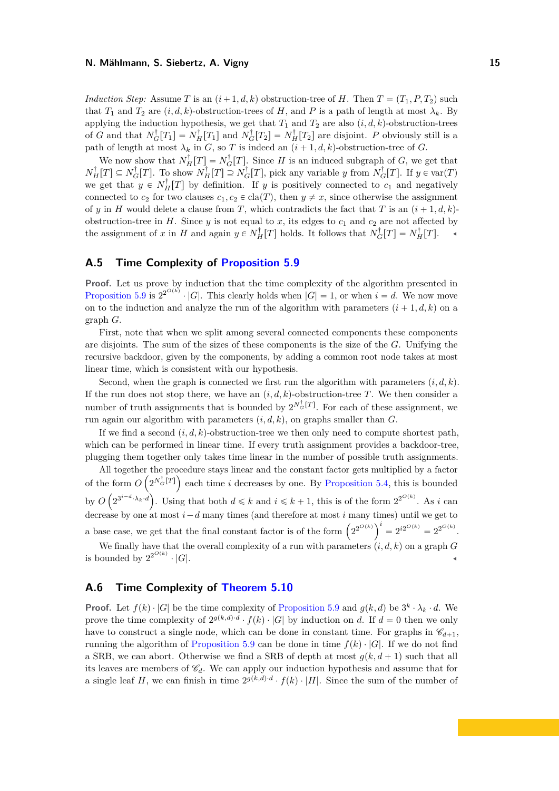*Induction Step:* Assume *T* is an  $(i+1, d, k)$  obstruction-tree of *H*. Then  $T = (T_1, P, T_2)$  such that *T*<sub>1</sub> and *T*<sub>2</sub> are  $(i, d, k)$ -obstruction-trees of *H*, and *P* is a path of length at most  $\lambda_k$ . By applying the induction hypothesis, we get that  $T_1$  and  $T_2$  are also  $(i, d, k)$ -obstruction-trees of *G* and that  $N_G^{\dagger}[T_1] = N_H^{\dagger}[T_1]$  and  $N_G^{\dagger}[T_2] = N_H^{\dagger}[T_2]$  are disjoint. *P* obviously still is a path of length at most  $\lambda_k$  in *G*, so *T* is indeed an  $(i + 1, d, k)$ -obstruction-tree of *G*.

We now show that  $N_H^{\dagger}[T] = N_G^{\dagger}[T]$ . Since *H* is an induced subgraph of *G*, we get that  $N_H^{\dagger}[T] \subseteq N_G^{\dagger}[T]$ . To show  $N_H^{\dagger}[T] \supseteq N_G^{\dagger}[T]$ , pick any variable *y* from  $N_G^{\dagger}[T]$ . If  $y \in \text{var}(T)$ we get that  $y \in N_H^{\dagger}[T]$  by definition. If *y* is positively connected to  $c_1$  and negatively connected to  $c_2$  for two clauses  $c_1, c_2 \in \text{cla}(T)$ , then  $y \neq x$ , since otherwise the assignment of *y* in *H* would delete a clause from *T*, which contradicts the fact that *T* is an  $(i + 1, d, k)$ obstruction-tree in  $H$ . Since  $y$  is not equal to  $x$ , its edges to  $c_1$  and  $c_2$  are not affected by the assignment of *x* in *H* and again  $y \in N_H^{\dagger}[T]$  holds. It follows that  $N_G^{\dagger}[T] = N_H^{\dagger}[T]$ .

## <span id="page-14-0"></span>**A.5 Time Complexity of [Proposition 5.9](#page-9-0)**

**Proof.** Let us prove by induction that the time complexity of the algorithm presented in [Proposition 5.9](#page-9-0) is  $2^{O(k)} \cdot |G|$ . This clearly holds when  $|G| = 1$ , or when  $i = d$ . We now move on to the induction and analyze the run of the algorithm with parameters  $(i + 1, d, k)$  on a graph *G*.

First, note that when we split among several connected components these components are disjoints. The sum of the sizes of these components is the size of the *G*. Unifying the recursive backdoor, given by the components, by adding a common root node takes at most linear time, which is consistent with our hypothesis.

Second, when the graph is connected we first run the algorithm with parameters  $(i, d, k)$ . If the run does not stop there, we have an  $(i, d, k)$ -obstruction-tree *T*. We then consider a number of truth assignments that is bounded by  $2^{N_G^{\dagger}[T]}$ . For each of these assignment, we run again our algorithm with parameters  $(i, d, k)$ , on graphs smaller than *G*.

If we find a second  $(i, d, k)$ -obstruction-tree we then only need to compute shortest path. which can be performed in linear time. If every truth assignment provides a backdoor-tree, plugging them together only takes time linear in the number of possible truth assignments.

All together the procedure stays linear and the constant factor gets multiplied by a factor of the form  $O\left(2^{N_C^{\dagger}[T]}\right)$  each time *i* decreases by one. By [Proposition 5.4,](#page-8-3) this is bounded by *O*  $\overline{\phantom{a}}$  $2^{3^{i-d}\cdot\lambda_k\cdot d}$  $\overline{a}$ . Using that both  $d \leq k$  and  $i \leq k + 1$ , this is of the form  $2^{2^{O(k)}}$ . As *i* can decrease by one at most  $i - d$  many times (and therefore at most  $i$  many times) until we get to decrease by one at most  $i - a$  many times (and therefore at most  $i$  many times a base case, we get that the final constant factor is of the form  $(2^{2^{O(k)}})^i$  $= 2^{i2^{O(k)}} = 2^{2^{O(k)}}.$ 

We finally have that the overall complexity of a run with parameters  $(i, d, k)$  on a graph  $G$ is bounded by  $2^{2^{O(k)}} \cdot |G|$ .

## <span id="page-14-1"></span>**A.6 Time Complexity of [Theorem 5.10](#page-10-0)**

**Proof.** Let  $f(k) \cdot |G|$  be the time complexity of [Proposition 5.9](#page-9-0) and  $g(k, d)$  be  $3^k \cdot \lambda_k \cdot d$ . We prove the time complexity of  $2^{g(k,d)} \cdot f(k) \cdot |G|$  by induction on *d*. If  $d = 0$  then we only have to construct a single node, which can be done in constant time. For graphs in  $\mathscr{C}_{d+1}$ , running the algorithm of [Proposition 5.9](#page-9-0) can be done in time  $f(k) \cdot |G|$ . If we do not find a SRB, we can abort. Otherwise we find a SRB of depth at most  $g(k, d + 1)$  such that all its leaves are members of  $\mathcal{C}_d$ . We can apply our induction hypothesis and assume that for a single leaf *H*, we can finish in time  $2^{g(k,d)\cdot d} \cdot f(k) \cdot |H|$ . Since the sum of the number of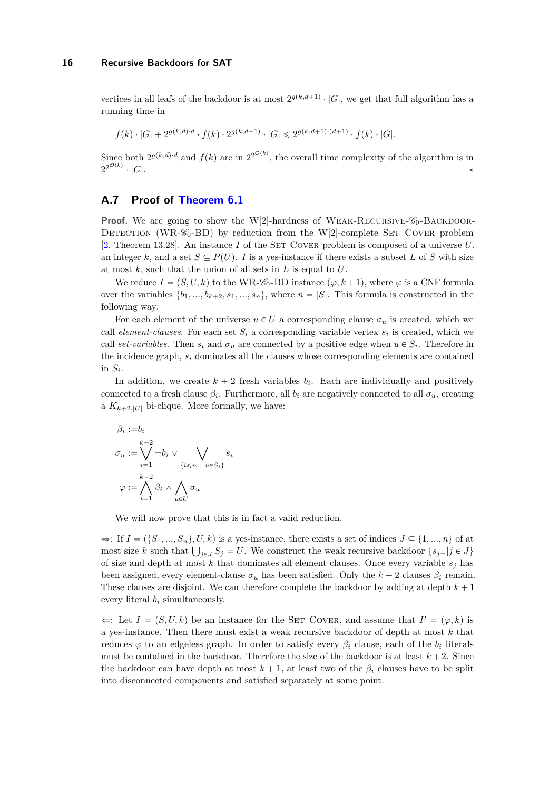vertices in all leafs of the backdoor is at most  $2^{g(k,d+1)} \cdot |G|$ , we get that full algorithm has a running time in

$$
f(k) \cdot |G| + 2^{g(k,d) \cdot d} \cdot f(k) \cdot 2^{g(k,d+1)} \cdot |G| \leq 2^{g(k,d+1) \cdot (d+1)} \cdot f(k) \cdot |G|.
$$

Since both  $2^{g(k,d)}$ <sup>*d*</sup> and  $f(k)$  are in  $2^{2^{\mathcal{O}(k)}}$ , the overall time complexity of the algorithm is in  $2^{2^{\mathcal{O}(k)}}$  $\cdot$  |*G*|.

# <span id="page-15-0"></span>**A.7 Proof of [Theorem 6.1](#page-11-0)**

**Proof.** We are going to show the W[2]-hardness of WEAK-RECURSIVE- $\mathscr{C}_0$ -BACKDOOR-DETECTION (WR- $\mathcal{C}_0$ -BD) by reduction from the W[2]-complete SET COVER problem [\[2,](#page-12-14) Theorem 13.28]. An instance *I* of the SET COVER problem is composed of a universe  $U$ , an integer k, and a set  $S \subseteq P(U)$ . I is a yes-instance if there exists a subset L of S with size at most *k*, such that the union of all sets in *L* is equal to *U*.

We reduce  $I = (S, U, k)$  to the WR- $\mathcal{C}_0$ -BD instance  $(\varphi, k+1)$ , where  $\varphi$  is a CNF formula over the variables  $\{b_1, ..., b_{k+2}, s_1, ..., s_n\}$ , where  $n = |S|$ . This formula is constructed in the following way:

For each element of the universe  $u \in U$  a corresponding clause  $\sigma_u$  is created, which we call *element-clauses*. For each set  $S_i$  a corresponding variable vertex  $s_i$  is created, which we call *set-variables*. Then  $s_i$  and  $\sigma_u$  are connected by a positive edge when  $u \in S_i$ . Therefore in the incidence graph,  $s_i$  dominates all the clauses whose corresponding elements are contained in  $S_i$ .

In addition, we create  $k + 2$  fresh variables  $b_i$ . Each are individually and positively connected to a fresh clause  $\beta_i$ . Furthermore, all  $b_i$  are negatively connected to all  $\sigma_u$ , creating a  $K_{k+2,|U|}$  bi-clique. More formally, we have:

$$
\beta_i := b_i
$$
  
\n
$$
\sigma_u := \bigvee_{i=1}^{k+2} \neg b_i \vee \bigvee_{\{i \leq n \ : u \in S_i\}}
$$
  
\n
$$
\varphi := \bigwedge_{i=1}^{k+2} \beta_i \wedge \bigwedge_{u \in U} \sigma_u
$$

We will now prove that this is in fact a valid reduction.

 $\Rightarrow$ : If  $I = (\{S_1, ..., S_n\}, U, k)$  is a yes-instance, there exists a set of indices  $J \subseteq \{1, ..., n\}$  of at  $\Rightarrow$ : If  $I = (\{S_1, ..., S_n\}, U, k)$  is a yes-instance, there exists a set of indices  $J \subseteq \{1, ..., n\}$  of at most size *k* such that  $\bigcup_{j \in J} S_j = U$ . We construct the weak recursive backdoor  $\{s_{j+}|j \in J\}$ of size and depth at most  $k$  that dominates all element clauses. Once every variable  $s_i$  has been assigned, every element-clause  $\sigma_u$  has been satisfied. Only the  $k + 2$  clauses  $\beta_i$  remain. These clauses are disjoint. We can therefore complete the backdoor by adding at depth  $k + 1$ every literal *b<sup>i</sup>* simultaneously.

 $\Leftarrow$ : Let  $I = (S, U, k)$  be an instance for the SET COVER, and assume that  $I' = (\varphi, k)$  is a yes-instance. Then there must exist a weak recursive backdoor of depth at most *k* that reduces  $\varphi$  to an edgeless graph. In order to satisfy every  $\beta_i$  clause, each of the  $b_i$  literals must be contained in the backdoor. Therefore the size of the backdoor is at least  $k + 2$ . Since the backdoor can have depth at most  $k + 1$ , at least two of the  $\beta_i$  clauses have to be split into disconnected components and satisfied separately at some point.